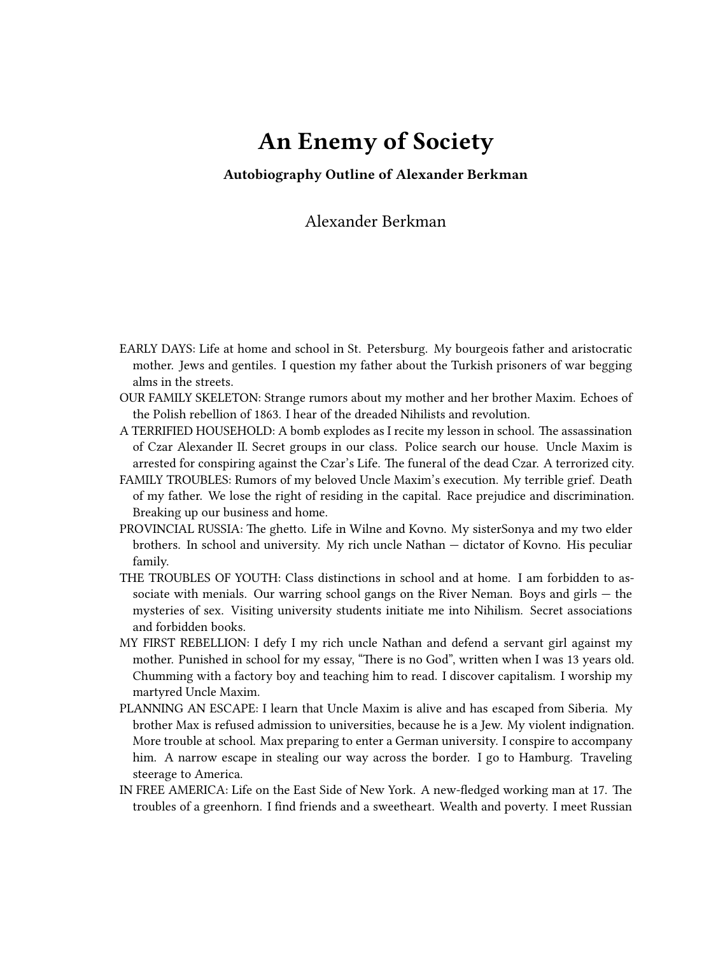## **An Enemy of Society**

**Autobiography Outline of Alexander Berkman**

Alexander Berkman

- EARLY DAYS: Life at home and school in St. Petersburg. My bourgeois father and aristocratic mother. Jews and gentiles. I question my father about the Turkish prisoners of war begging alms in the streets.
- OUR FAMILY SKELETON: Strange rumors about my mother and her brother Maxim. Echoes of the Polish rebellion of 1863. I hear of the dreaded Nihilists and revolution.
- A TERRIFIED HOUSEHOLD: A bomb explodes as I recite my lesson in school. The assassination of Czar Alexander II. Secret groups in our class. Police search our house. Uncle Maxim is arrested for conspiring against the Czar's Life. The funeral of the dead Czar. A terrorized city.
- FAMILY TROUBLES: Rumors of my beloved Uncle Maxim's execution. My terrible grief. Death of my father. We lose the right of residing in the capital. Race prejudice and discrimination. Breaking up our business and home.
- PROVINCIAL RUSSIA: The ghetto. Life in Wilne and Kovno. My sisterSonya and my two elder brothers. In school and university. My rich uncle Nathan — dictator of Kovno. His peculiar family.
- THE TROUBLES OF YOUTH: Class distinctions in school and at home. I am forbidden to associate with menials. Our warring school gangs on the River Neman. Boys and girls  $-$  the mysteries of sex. Visiting university students initiate me into Nihilism. Secret associations and forbidden books.
- MY FIRST REBELLION: I defy I my rich uncle Nathan and defend a servant girl against my mother. Punished in school for my essay, "There is no God", written when I was 13 years old. Chumming with a factory boy and teaching him to read. I discover capitalism. I worship my martyred Uncle Maxim.
- PLANNING AN ESCAPE: I learn that Uncle Maxim is alive and has escaped from Siberia. My brother Max is refused admission to universities, because he is a Jew. My violent indignation. More trouble at school. Max preparing to enter a German university. I conspire to accompany him. A narrow escape in stealing our way across the border. I go to Hamburg. Traveling steerage to America.
- IN FREE AMERICA: Life on the East Side of New York. A new-fledged working man at 17. The troubles of a greenhorn. I find friends and a sweetheart. Wealth and poverty. I meet Russian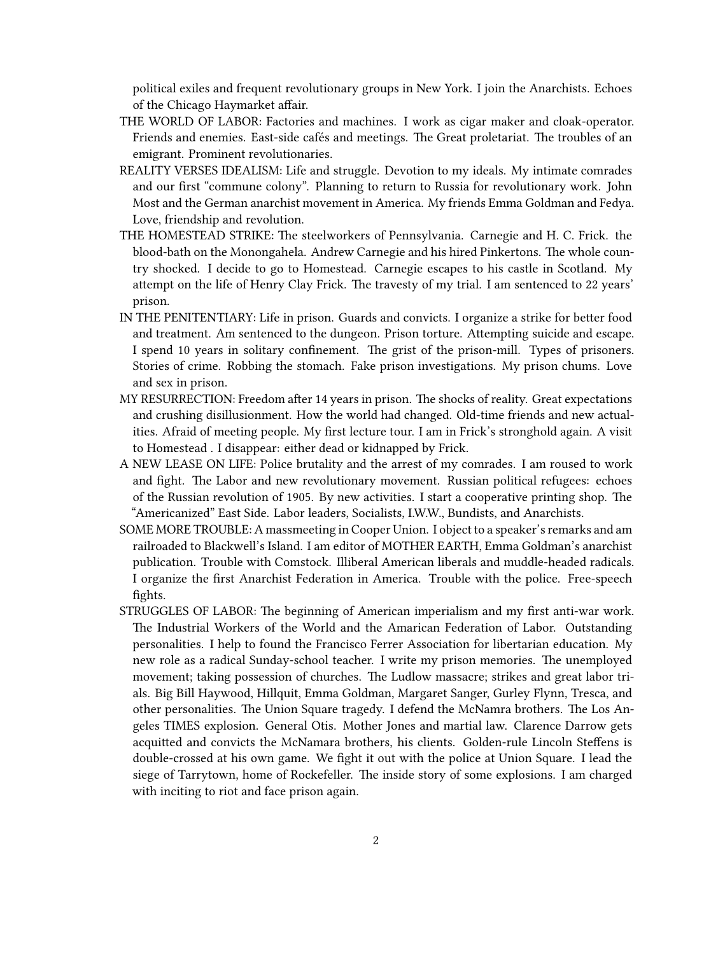political exiles and frequent revolutionary groups in New York. I join the Anarchists. Echoes of the Chicago Haymarket affair.

- THE WORLD OF LABOR: Factories and machines. I work as cigar maker and cloak-operator. Friends and enemies. East-side cafés and meetings. The Great proletariat. The troubles of an emigrant. Prominent revolutionaries.
- REALITY VERSES IDEALISM: Life and struggle. Devotion to my ideals. My intimate comrades and our first "commune colony". Planning to return to Russia for revolutionary work. John Most and the German anarchist movement in America. My friends Emma Goldman and Fedya. Love, friendship and revolution.
- THE HOMESTEAD STRIKE: The steelworkers of Pennsylvania. Carnegie and H. C. Frick. the blood-bath on the Monongahela. Andrew Carnegie and his hired Pinkertons. The whole country shocked. I decide to go to Homestead. Carnegie escapes to his castle in Scotland. My attempt on the life of Henry Clay Frick. The travesty of my trial. I am sentenced to 22 years' prison.
- IN THE PENITENTIARY: Life in prison. Guards and convicts. I organize a strike for better food and treatment. Am sentenced to the dungeon. Prison torture. Attempting suicide and escape. I spend 10 years in solitary confinement. The grist of the prison-mill. Types of prisoners. Stories of crime. Robbing the stomach. Fake prison investigations. My prison chums. Love and sex in prison.
- MY RESURRECTION: Freedom after 14 years in prison. The shocks of reality. Great expectations and crushing disillusionment. How the world had changed. Old-time friends and new actualities. Afraid of meeting people. My first lecture tour. I am in Frick's stronghold again. A visit to Homestead . I disappear: either dead or kidnapped by Frick.
- A NEW LEASE ON LIFE: Police brutality and the arrest of my comrades. I am roused to work and fight. The Labor and new revolutionary movement. Russian political refugees: echoes of the Russian revolution of 1905. By new activities. I start a cooperative printing shop. The "Americanized" East Side. Labor leaders, Socialists, I.W.W., Bundists, and Anarchists.
- SOME MORE TROUBLE: A massmeeting in Cooper Union. I object to a speaker's remarks and am railroaded to Blackwell's Island. I am editor of MOTHER EARTH, Emma Goldman's anarchist publication. Trouble with Comstock. Illiberal American liberals and muddle-headed radicals. I organize the first Anarchist Federation in America. Trouble with the police. Free-speech fights.
- STRUGGLES OF LABOR: The beginning of American imperialism and my first anti-war work. The Industrial Workers of the World and the Amarican Federation of Labor. Outstanding personalities. I help to found the Francisco Ferrer Association for libertarian education. My new role as a radical Sunday-school teacher. I write my prison memories. The unemployed movement; taking possession of churches. The Ludlow massacre; strikes and great labor trials. Big Bill Haywood, Hillquit, Emma Goldman, Margaret Sanger, Gurley Flynn, Tresca, and other personalities. The Union Square tragedy. I defend the McNamra brothers. The Los Angeles TIMES explosion. General Otis. Mother Jones and martial law. Clarence Darrow gets acquitted and convicts the McNamara brothers, his clients. Golden-rule Lincoln Steffens is double-crossed at his own game. We fight it out with the police at Union Square. I lead the siege of Tarrytown, home of Rockefeller. The inside story of some explosions. I am charged with inciting to riot and face prison again.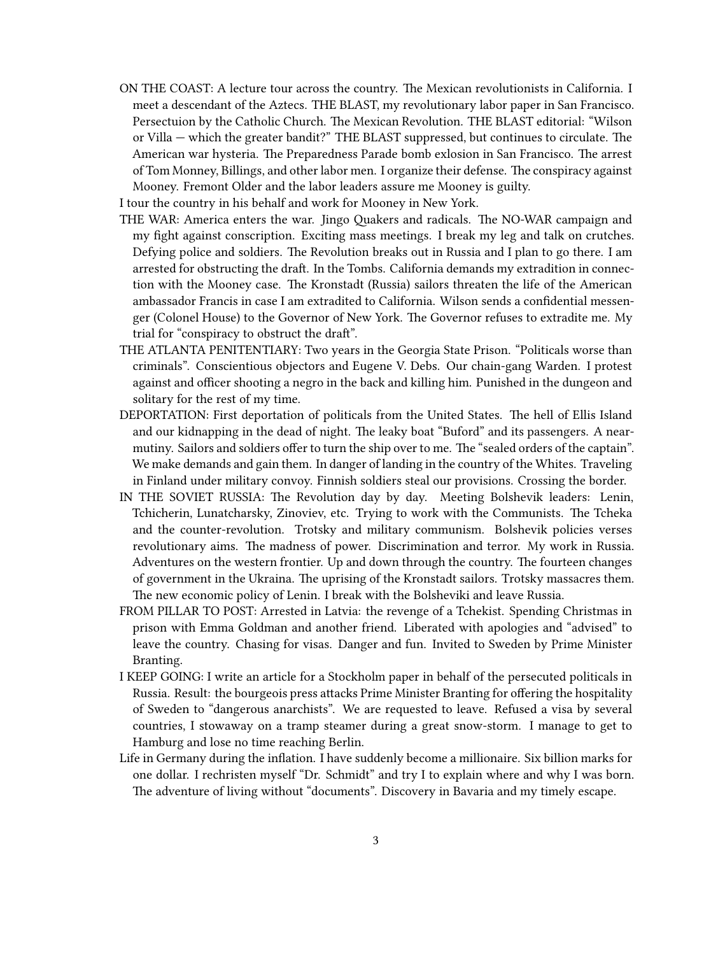- ON THE COAST: A lecture tour across the country. The Mexican revolutionists in California. I meet a descendant of the Aztecs. THE BLAST, my revolutionary labor paper in San Francisco. Persectuion by the Catholic Church. The Mexican Revolution. THE BLAST editorial: "Wilson or Villa — which the greater bandit?" THE BLAST suppressed, but continues to circulate. The American war hysteria. The Preparedness Parade bomb exlosion in San Francisco. The arrest of Tom Monney, Billings, and other labor men. I organize their defense. The conspiracy against Mooney. Fremont Older and the labor leaders assure me Mooney is guilty.
- I tour the country in his behalf and work for Mooney in New York.
- THE WAR: America enters the war. Jingo Quakers and radicals. The NO-WAR campaign and my fight against conscription. Exciting mass meetings. I break my leg and talk on crutches. Defying police and soldiers. The Revolution breaks out in Russia and I plan to go there. I am arrested for obstructing the draft. In the Tombs. California demands my extradition in connection with the Mooney case. The Kronstadt (Russia) sailors threaten the life of the American ambassador Francis in case I am extradited to California. Wilson sends a confidential messenger (Colonel House) to the Governor of New York. The Governor refuses to extradite me. My trial for "conspiracy to obstruct the draft".
- THE ATLANTA PENITENTIARY: Two years in the Georgia State Prison. "Politicals worse than criminals". Conscientious objectors and Eugene V. Debs. Our chain-gang Warden. I protest against and officer shooting a negro in the back and killing him. Punished in the dungeon and solitary for the rest of my time.
- DEPORTATION: First deportation of politicals from the United States. The hell of Ellis Island and our kidnapping in the dead of night. The leaky boat "Buford" and its passengers. A nearmutiny. Sailors and soldiers offer to turn the ship over to me. The "sealed orders of the captain". We make demands and gain them. In danger of landing in the country of the Whites. Traveling in Finland under military convoy. Finnish soldiers steal our provisions. Crossing the border.
- IN THE SOVIET RUSSIA: The Revolution day by day. Meeting Bolshevik leaders: Lenin, Tchicherin, Lunatcharsky, Zinoviev, etc. Trying to work with the Communists. The Tcheka and the counter-revolution. Trotsky and military communism. Bolshevik policies verses revolutionary aims. The madness of power. Discrimination and terror. My work in Russia. Adventures on the western frontier. Up and down through the country. The fourteen changes of government in the Ukraina. The uprising of the Kronstadt sailors. Trotsky massacres them. The new economic policy of Lenin. I break with the Bolsheviki and leave Russia.
- FROM PILLAR TO POST: Arrested in Latvia: the revenge of a Tchekist. Spending Christmas in prison with Emma Goldman and another friend. Liberated with apologies and "advised" to leave the country. Chasing for visas. Danger and fun. Invited to Sweden by Prime Minister Branting.
- I KEEP GOING: I write an article for a Stockholm paper in behalf of the persecuted politicals in Russia. Result: the bourgeois press attacks Prime Minister Branting for offering the hospitality of Sweden to "dangerous anarchists". We are requested to leave. Refused a visa by several countries, I stowaway on a tramp steamer during a great snow-storm. I manage to get to Hamburg and lose no time reaching Berlin.
- Life in Germany during the inflation. I have suddenly become a millionaire. Six billion marks for one dollar. I rechristen myself "Dr. Schmidt" and try I to explain where and why I was born. The adventure of living without "documents". Discovery in Bavaria and my timely escape.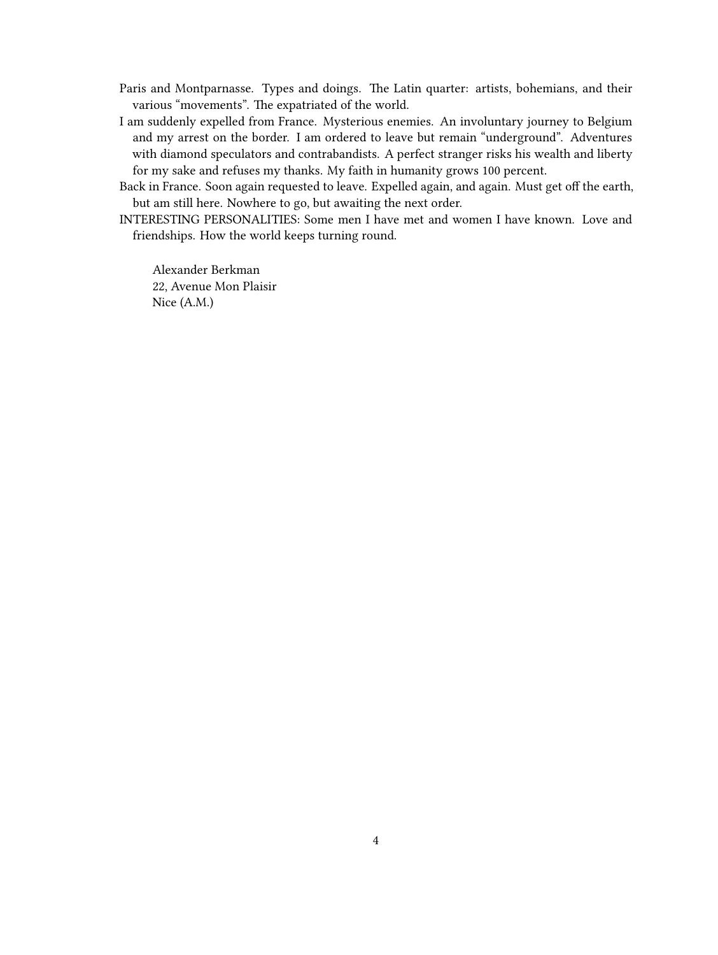- Paris and Montparnasse. Types and doings. The Latin quarter: artists, bohemians, and their various "movements". The expatriated of the world.
- I am suddenly expelled from France. Mysterious enemies. An involuntary journey to Belgium and my arrest on the border. I am ordered to leave but remain "underground". Adventures with diamond speculators and contrabandists. A perfect stranger risks his wealth and liberty for my sake and refuses my thanks. My faith in humanity grows 100 percent.
- Back in France. Soon again requested to leave. Expelled again, and again. Must get off the earth, but am still here. Nowhere to go, but awaiting the next order.
- INTERESTING PERSONALITIES: Some men I have met and women I have known. Love and friendships. How the world keeps turning round.

Alexander Berkman 22, Avenue Mon Plaisir Nice (A.M.)